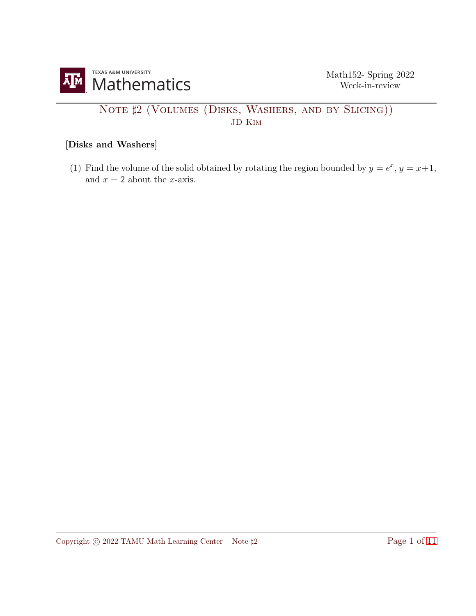

## NOTE  $\sharp 2$  (VOLUMES (DISKS, WASHERS, AND BY SLICING)) JD Kim

## [Disks and Washers]

(1) Find the volume of the solid obtained by rotating the region bounded by  $y = e^x$ ,  $y = x+1$ , and  $x = 2$  about the *x*-axis.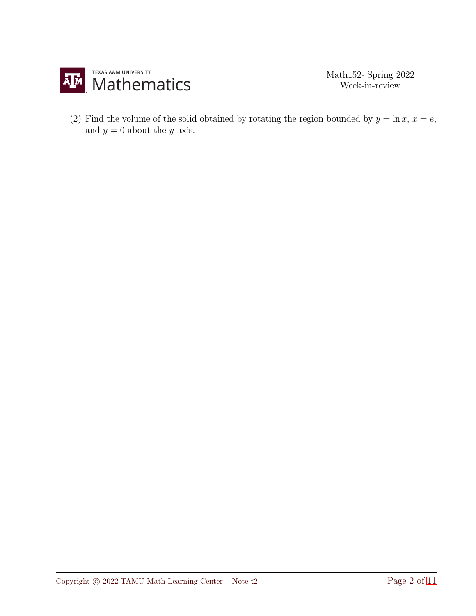

(2) Find the volume of the solid obtained by rotating the region bounded by  $y = \ln x$ ,  $x = e$ , and  $y = 0$  about the y-axis.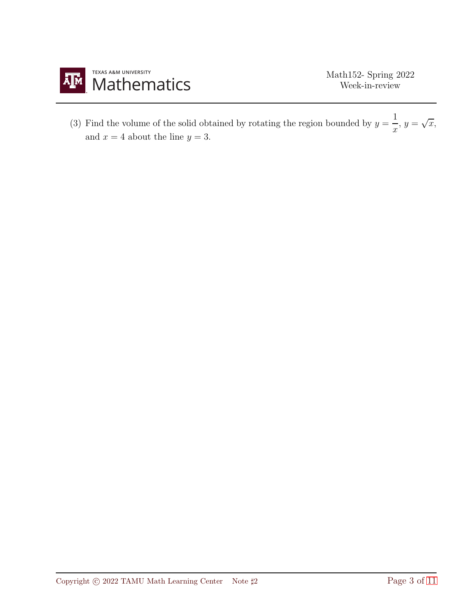

(3) Find the volume of the solid obtained by rotating the region bounded by  $y = \frac{1}{x}$  $\frac{1}{x}, y = \sqrt{x},$ and  $x = 4$  about the line  $y = 3$ .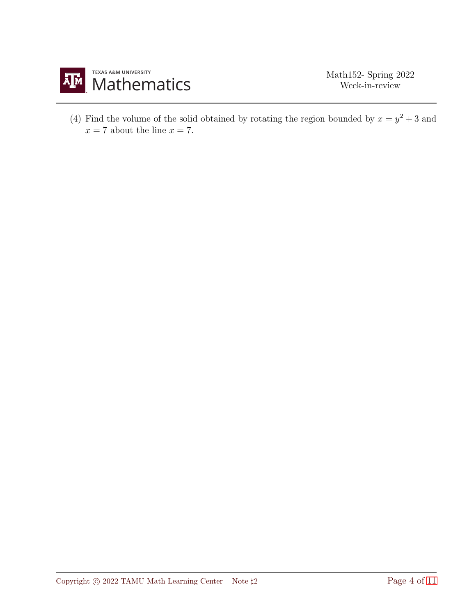

(4) Find the volume of the solid obtained by rotating the region bounded by  $x = y^2 + 3$  and  $x = 7$  about the line  $x = 7$ .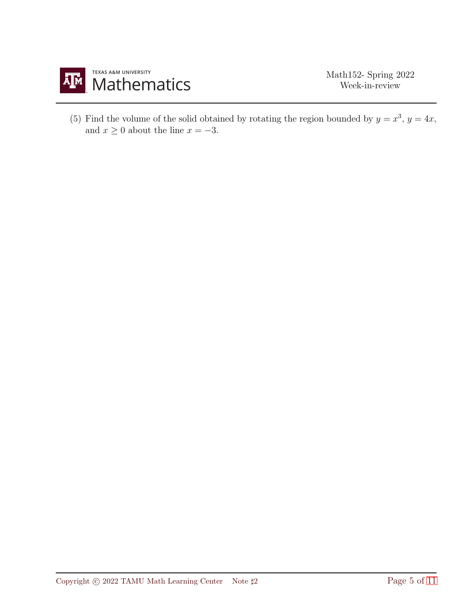

(5) Find the volume of the solid obtained by rotating the region bounded by  $y = x^3$ ,  $y = 4x$ , and  $x \ge 0$  about the line  $x = -3$ .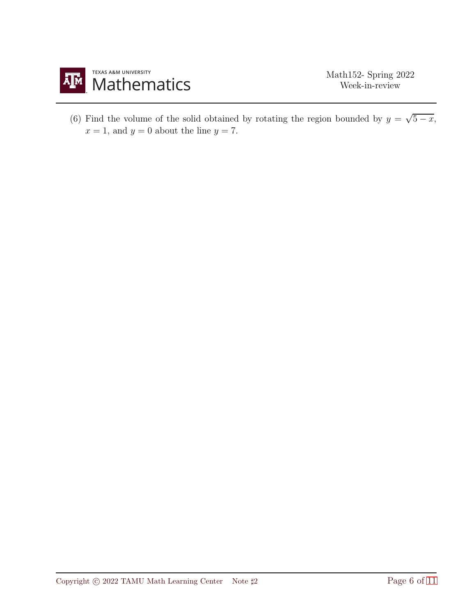

(6) Find the volume of the solid obtained by rotating the region bounded by  $y = \sqrt{5-x}$ ,  $x = 1$ , and  $y = 0$  about the line  $y = 7$ .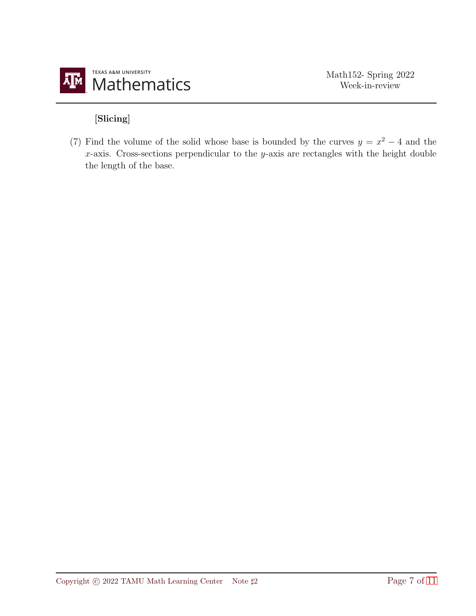

## [Slicing]

(7) Find the volume of the solid whose base is bounded by the curves  $y = x^2 - 4$  and the  $x$ -axis. Cross-sections perpendicular to the  $y$ -axis are rectangles with the height double the length of the base.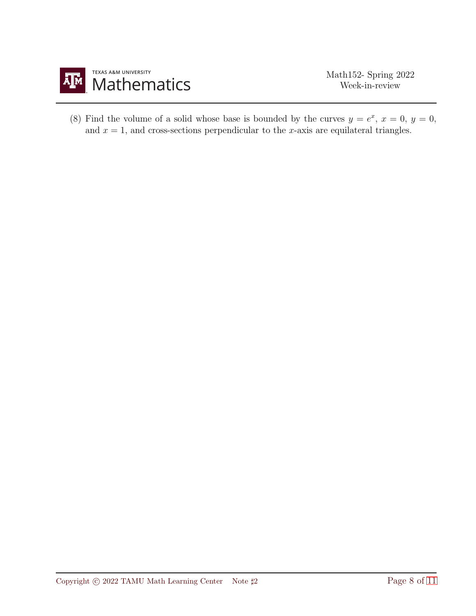

(8) Find the volume of a solid whose base is bounded by the curves  $y = e^x$ ,  $x = 0$ ,  $y = 0$ , and  $x = 1$ , and cross-sections perpendicular to the x-axis are equilateral triangles.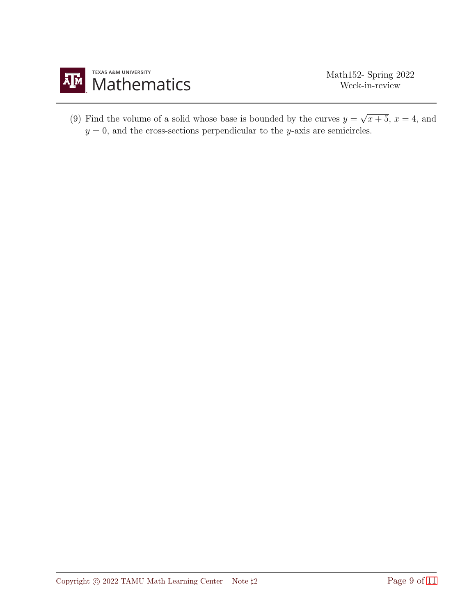

(9) Find the volume of a solid whose base is bounded by the curves  $y = \sqrt{x+5}$ ,  $x = 4$ , and  $y = 0$ , and the cross-sections perpendicular to the y-axis are semicircles.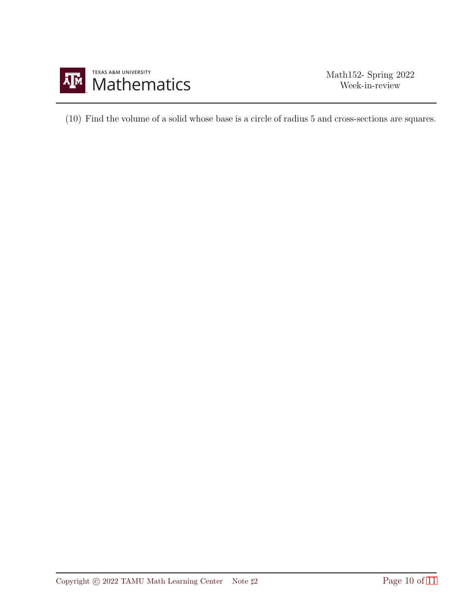

(10) Find the volume of a solid whose base is a circle of radius 5 and cross-sections are squares.